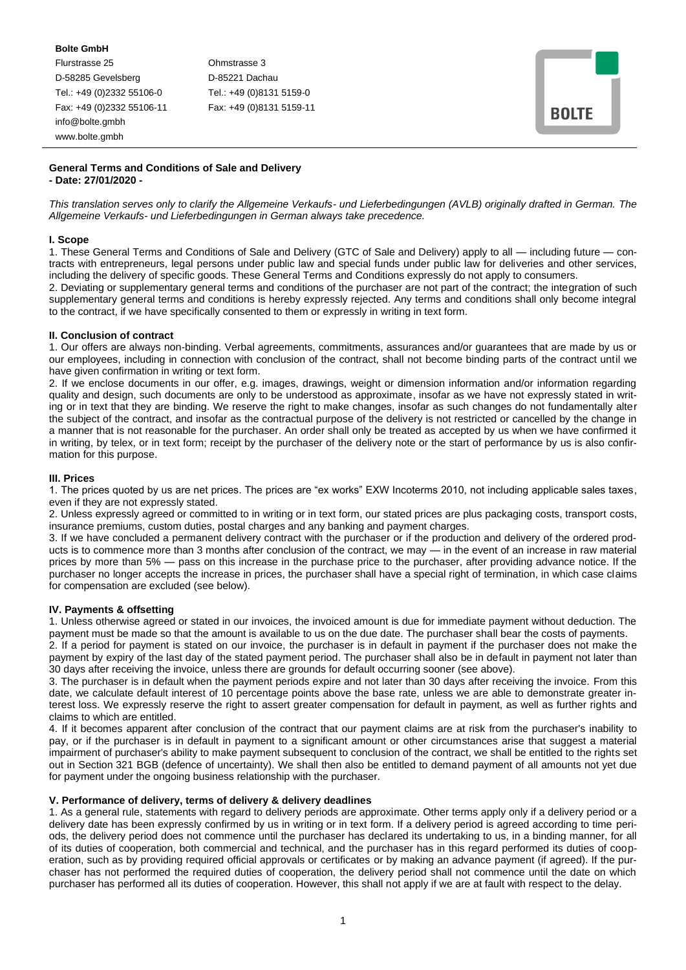**Bolte GmbH** Flurstrasse 25 Ohmstrasse 3 D-58285 Gevelsberg D-85221 Dachau Tel.: +49 (0)2332 55106-0 Tel.: +49 (0)8131 5159-0 Fax: +49 (0)2332 55106-11 Fax: +49 (0)8131 5159-11 info@bolte.gmbh www.bolte.gmbh

| <b>BOLTE</b> |  |
|--------------|--|
|              |  |

## **General Terms and Conditions of Sale and Delivery - Date: 27/01/2020 -**

*This translation serves only to clarify the Allgemeine Verkaufs- und Lieferbedingungen (AVLB) originally drafted in German. The Allgemeine Verkaufs- und Lieferbedingungen in German always take precedence.*

## **I. Scope**

1. These General Terms and Conditions of Sale and Delivery (GTC of Sale and Delivery) apply to all — including future — contracts with entrepreneurs, legal persons under public law and special funds under public law for deliveries and other services, including the delivery of specific goods. These General Terms and Conditions expressly do not apply to consumers.

2. Deviating or supplementary general terms and conditions of the purchaser are not part of the contract; the integration of such supplementary general terms and conditions is hereby expressly rejected. Any terms and conditions shall only become integral to the contract, if we have specifically consented to them or expressly in writing in text form.

## **II. Conclusion of contract**

1. Our offers are always non-binding. Verbal agreements, commitments, assurances and/or guarantees that are made by us or our employees, including in connection with conclusion of the contract, shall not become binding parts of the contract until we have given confirmation in writing or text form.

2. If we enclose documents in our offer, e.g. images, drawings, weight or dimension information and/or information regarding quality and design, such documents are only to be understood as approximate, insofar as we have not expressly stated in writing or in text that they are binding. We reserve the right to make changes, insofar as such changes do not fundamentally alter the subject of the contract, and insofar as the contractual purpose of the delivery is not restricted or cancelled by the change in a manner that is not reasonable for the purchaser. An order shall only be treated as accepted by us when we have confirmed it in writing, by telex, or in text form; receipt by the purchaser of the delivery note or the start of performance by us is also confirmation for this purpose.

## **III. Prices**

1. The prices quoted by us are net prices. The prices are "ex works" EXW Incoterms 2010, not including applicable sales taxes, even if they are not expressly stated.

2. Unless expressly agreed or committed to in writing or in text form, our stated prices are plus packaging costs, transport costs, insurance premiums, custom duties, postal charges and any banking and payment charges.

3. If we have concluded a permanent delivery contract with the purchaser or if the production and delivery of the ordered products is to commence more than 3 months after conclusion of the contract, we may — in the event of an increase in raw material prices by more than 5% — pass on this increase in the purchase price to the purchaser, after providing advance notice. If the purchaser no longer accepts the increase in prices, the purchaser shall have a special right of termination, in which case claims for compensation are excluded (see below).

# **IV. Payments & offsetting**

1. Unless otherwise agreed or stated in our invoices, the invoiced amount is due for immediate payment without deduction. The payment must be made so that the amount is available to us on the due date. The purchaser shall bear the costs of payments.

2. If a period for payment is stated on our invoice, the purchaser is in default in payment if the purchaser does not make the payment by expiry of the last day of the stated payment period. The purchaser shall also be in default in payment not later than 30 days after receiving the invoice, unless there are grounds for default occurring sooner (see above).

3. The purchaser is in default when the payment periods expire and not later than 30 days after receiving the invoice. From this date, we calculate default interest of 10 percentage points above the base rate, unless we are able to demonstrate greater interest loss. We expressly reserve the right to assert greater compensation for default in payment, as well as further rights and claims to which are entitled.

4. If it becomes apparent after conclusion of the contract that our payment claims are at risk from the purchaser's inability to pay, or if the purchaser is in default in payment to a significant amount or other circumstances arise that suggest a material impairment of purchaser's ability to make payment subsequent to conclusion of the contract, we shall be entitled to the rights set out in Section 321 BGB (defence of uncertainty). We shall then also be entitled to demand payment of all amounts not yet due for payment under the ongoing business relationship with the purchaser.

#### **V. Performance of delivery, terms of delivery & delivery deadlines**

1. As a general rule, statements with regard to delivery periods are approximate. Other terms apply only if a delivery period or a delivery date has been expressly confirmed by us in writing or in text form. If a delivery period is agreed according to time periods, the delivery period does not commence until the purchaser has declared its undertaking to us, in a binding manner, for all of its duties of cooperation, both commercial and technical, and the purchaser has in this regard performed its duties of cooperation, such as by providing required official approvals or certificates or by making an advance payment (if agreed). If the purchaser has not performed the required duties of cooperation, the delivery period shall not commence until the date on which purchaser has performed all its duties of cooperation. However, this shall not apply if we are at fault with respect to the delay.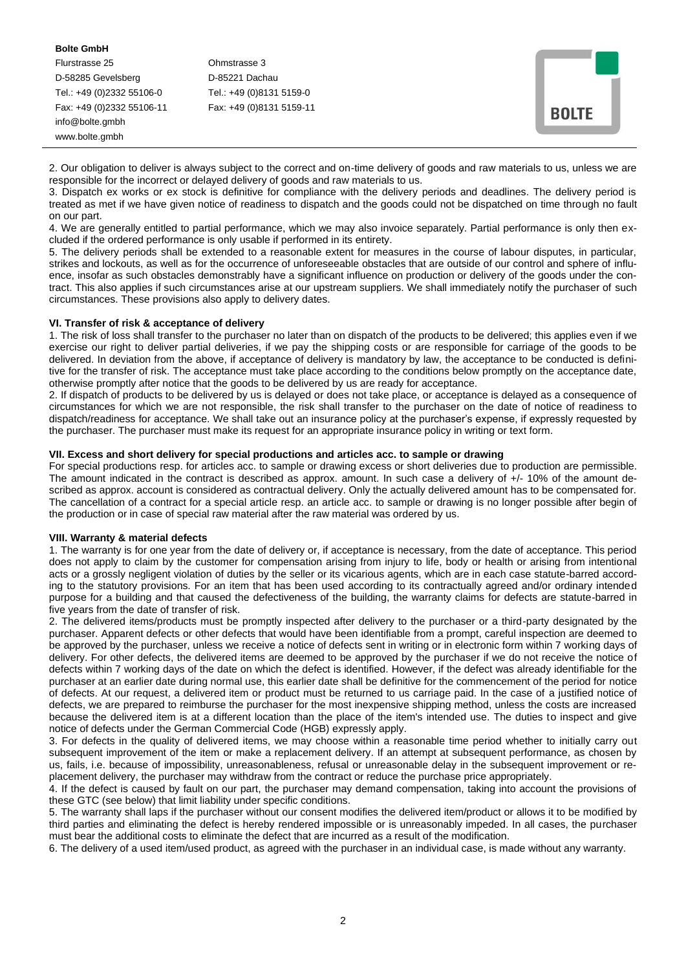#### **Bolte GmbH**

Flurstrasse 25 Ohmstrasse 3 D-58285 Gevelsberg D-85221 Dachau Tel.: +49 (0)2332 55106-0 Tel.: +49 (0)8131 5159-0 Fax: +49 (0)2332 55106-11 Fax: +49 (0)8131 5159-11 info@bolte.gmbh www.bolte.gmbh

2. Our obligation to deliver is always subject to the correct and on-time delivery of goods and raw materials to us, unless we are responsible for the incorrect or delayed delivery of goods and raw materials to us.

3. Dispatch ex works or ex stock is definitive for compliance with the delivery periods and deadlines. The delivery period is treated as met if we have given notice of readiness to dispatch and the goods could not be dispatched on time through no fault on our part.

4. We are generally entitled to partial performance, which we may also invoice separately. Partial performance is only then excluded if the ordered performance is only usable if performed in its entirety.

5. The delivery periods shall be extended to a reasonable extent for measures in the course of labour disputes, in particular, strikes and lockouts, as well as for the occurrence of unforeseeable obstacles that are outside of our control and sphere of influence, insofar as such obstacles demonstrably have a significant influence on production or delivery of the goods under the contract. This also applies if such circumstances arise at our upstream suppliers. We shall immediately notify the purchaser of such circumstances. These provisions also apply to delivery dates.

#### **VI. Transfer of risk & acceptance of delivery**

1. The risk of loss shall transfer to the purchaser no later than on dispatch of the products to be delivered; this applies even if we exercise our right to deliver partial deliveries, if we pay the shipping costs or are responsible for carriage of the goods to be delivered. In deviation from the above, if acceptance of delivery is mandatory by law, the acceptance to be conducted is definitive for the transfer of risk. The acceptance must take place according to the conditions below promptly on the acceptance date, otherwise promptly after notice that the goods to be delivered by us are ready for acceptance.

2. If dispatch of products to be delivered by us is delayed or does not take place, or acceptance is delayed as a consequence of circumstances for which we are not responsible, the risk shall transfer to the purchaser on the date of notice of readiness to dispatch/readiness for acceptance. We shall take out an insurance policy at the purchaser's expense, if expressly requested by the purchaser. The purchaser must make its request for an appropriate insurance policy in writing or text form.

## **VII. Excess and short delivery for special productions and articles acc. to sample or drawing**

For special productions resp. for articles acc. to sample or drawing excess or short deliveries due to production are permissible. The amount indicated in the contract is described as approx. amount. In such case a delivery of +/- 10% of the amount described as approx. account is considered as contractual delivery. Only the actually delivered amount has to be compensated for. The cancellation of a contract for a special article resp. an article acc. to sample or drawing is no longer possible after begin of the production or in case of special raw material after the raw material was ordered by us.

#### **VIII. Warranty & material defects**

1. The warranty is for one year from the date of delivery or, if acceptance is necessary, from the date of acceptance. This period does not apply to claim by the customer for compensation arising from injury to life, body or health or arising from intentional acts or a grossly negligent violation of duties by the seller or its vicarious agents, which are in each case statute-barred according to the statutory provisions. For an item that has been used according to its contractually agreed and/or ordinary intended purpose for a building and that caused the defectiveness of the building, the warranty claims for defects are statute-barred in five years from the date of transfer of risk.

2. The delivered items/products must be promptly inspected after delivery to the purchaser or a third-party designated by the purchaser. Apparent defects or other defects that would have been identifiable from a prompt, careful inspection are deemed to be approved by the purchaser, unless we receive a notice of defects sent in writing or in electronic form within 7 working days of delivery. For other defects, the delivered items are deemed to be approved by the purchaser if we do not receive the notice of defects within 7 working days of the date on which the defect is identified. However, if the defect was already identifiable for the purchaser at an earlier date during normal use, this earlier date shall be definitive for the commencement of the period for notice of defects. At our request, a delivered item or product must be returned to us carriage paid. In the case of a justified notice of defects, we are prepared to reimburse the purchaser for the most inexpensive shipping method, unless the costs are increased because the delivered item is at a different location than the place of the item's intended use. The duties to inspect and give notice of defects under the German Commercial Code (HGB) expressly apply.

3. For defects in the quality of delivered items, we may choose within a reasonable time period whether to initially carry out subsequent improvement of the item or make a replacement delivery. If an attempt at subsequent performance, as chosen by us, fails, i.e. because of impossibility, unreasonableness, refusal or unreasonable delay in the subsequent improvement or replacement delivery, the purchaser may withdraw from the contract or reduce the purchase price appropriately.

4. If the defect is caused by fault on our part, the purchaser may demand compensation, taking into account the provisions of these GTC (see below) that limit liability under specific conditions.

5. The warranty shall laps if the purchaser without our consent modifies the delivered item/product or allows it to be modified by third parties and eliminating the defect is hereby rendered impossible or is unreasonably impeded. In all cases, the purchaser must bear the additional costs to eliminate the defect that are incurred as a result of the modification.

6. The delivery of a used item/used product, as agreed with the purchaser in an individual case, is made without any warranty.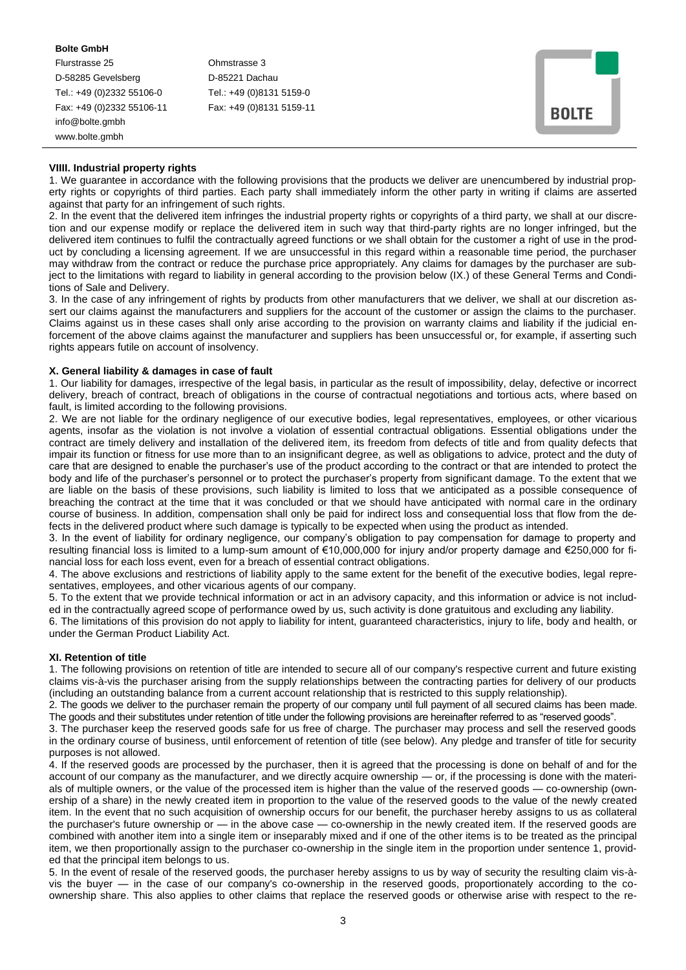#### **Bolte GmbH**

Flurstrasse 25 Ohmstrasse 3 D-58285 Gevelsberg D-85221 Dachau Tel.: +49 (0)2332 55106-0 Tel.: +49 (0)8131 5159-0 Fax: +49 (0)2332 55106-11 Fax: +49 (0)8131 5159-11 info@bolte.gmbh www.bolte.gmbh

| <b>BOLTE</b> |  |
|--------------|--|
|              |  |

## **VIIII. Industrial property rights**

1. We guarantee in accordance with the following provisions that the products we deliver are unencumbered by industrial property rights or copyrights of third parties. Each party shall immediately inform the other party in writing if claims are asserted against that party for an infringement of such rights.

2. In the event that the delivered item infringes the industrial property rights or copyrights of a third party, we shall at our discretion and our expense modify or replace the delivered item in such way that third-party rights are no longer infringed, but the delivered item continues to fulfil the contractually agreed functions or we shall obtain for the customer a right of use in the product by concluding a licensing agreement. If we are unsuccessful in this regard within a reasonable time period, the purchaser may withdraw from the contract or reduce the purchase price appropriately. Any claims for damages by the purchaser are subject to the limitations with regard to liability in general according to the provision below (IX.) of these General Terms and Conditions of Sale and Delivery.

3. In the case of any infringement of rights by products from other manufacturers that we deliver, we shall at our discretion assert our claims against the manufacturers and suppliers for the account of the customer or assign the claims to the purchaser. Claims against us in these cases shall only arise according to the provision on warranty claims and liability if the judicial enforcement of the above claims against the manufacturer and suppliers has been unsuccessful or, for example, if asserting such rights appears futile on account of insolvency.

# **X. General liability & damages in case of fault**

1. Our liability for damages, irrespective of the legal basis, in particular as the result of impossibility, delay, defective or incorrect delivery, breach of contract, breach of obligations in the course of contractual negotiations and tortious acts, where based on fault, is limited according to the following provisions.

2. We are not liable for the ordinary negligence of our executive bodies, legal representatives, employees, or other vicarious agents, insofar as the violation is not involve a violation of essential contractual obligations. Essential obligations under the contract are timely delivery and installation of the delivered item, its freedom from defects of title and from quality defects that impair its function or fitness for use more than to an insignificant degree, as well as obligations to advice, protect and the duty of care that are designed to enable the purchaser's use of the product according to the contract or that are intended to protect the body and life of the purchaser's personnel or to protect the purchaser's property from significant damage. To the extent that we are liable on the basis of these provisions, such liability is limited to loss that we anticipated as a possible consequence of breaching the contract at the time that it was concluded or that we should have anticipated with normal care in the ordinary course of business. In addition, compensation shall only be paid for indirect loss and consequential loss that flow from the defects in the delivered product where such damage is typically to be expected when using the product as intended.

3. In the event of liability for ordinary negligence, our company's obligation to pay compensation for damage to property and resulting financial loss is limited to a lump-sum amount of €10,000,000 for injury and/or property damage and €250,000 for financial loss for each loss event, even for a breach of essential contract obligations.

4. The above exclusions and restrictions of liability apply to the same extent for the benefit of the executive bodies, legal representatives, employees, and other vicarious agents of our company.

5. To the extent that we provide technical information or act in an advisory capacity, and this information or advice is not included in the contractually agreed scope of performance owed by us, such activity is done gratuitous and excluding any liability.

6. The limitations of this provision do not apply to liability for intent, guaranteed characteristics, injury to life, body and health, or under the German Product Liability Act.

#### **XI. Retention of title**

1. The following provisions on retention of title are intended to secure all of our company's respective current and future existing claims vis-à-vis the purchaser arising from the supply relationships between the contracting parties for delivery of our products (including an outstanding balance from a current account relationship that is restricted to this supply relationship).

2. The goods we deliver to the purchaser remain the property of our company until full payment of all secured claims has been made. The goods and their substitutes under retention of title under the following provisions are hereinafter referred to as "reserved goods".

3. The purchaser keep the reserved goods safe for us free of charge. The purchaser may process and sell the reserved goods in the ordinary course of business, until enforcement of retention of title (see below). Any pledge and transfer of title for security purposes is not allowed.

4. If the reserved goods are processed by the purchaser, then it is agreed that the processing is done on behalf of and for the account of our company as the manufacturer, and we directly acquire ownership — or, if the processing is done with the materials of multiple owners, or the value of the processed item is higher than the value of the reserved goods — co-ownership (ownership of a share) in the newly created item in proportion to the value of the reserved goods to the value of the newly created item. In the event that no such acquisition of ownership occurs for our benefit, the purchaser hereby assigns to us as collateral the purchaser's future ownership or  $-$  in the above case  $-$  co-ownership in the newly created item. If the reserved goods are combined with another item into a single item or inseparably mixed and if one of the other items is to be treated as the principal item, we then proportionally assign to the purchaser co-ownership in the single item in the proportion under sentence 1, provided that the principal item belongs to us.

5. In the event of resale of the reserved goods, the purchaser hereby assigns to us by way of security the resulting claim vis-àvis the buyer — in the case of our company's co-ownership in the reserved goods, proportionately according to the coownership share. This also applies to other claims that replace the reserved goods or otherwise arise with respect to the re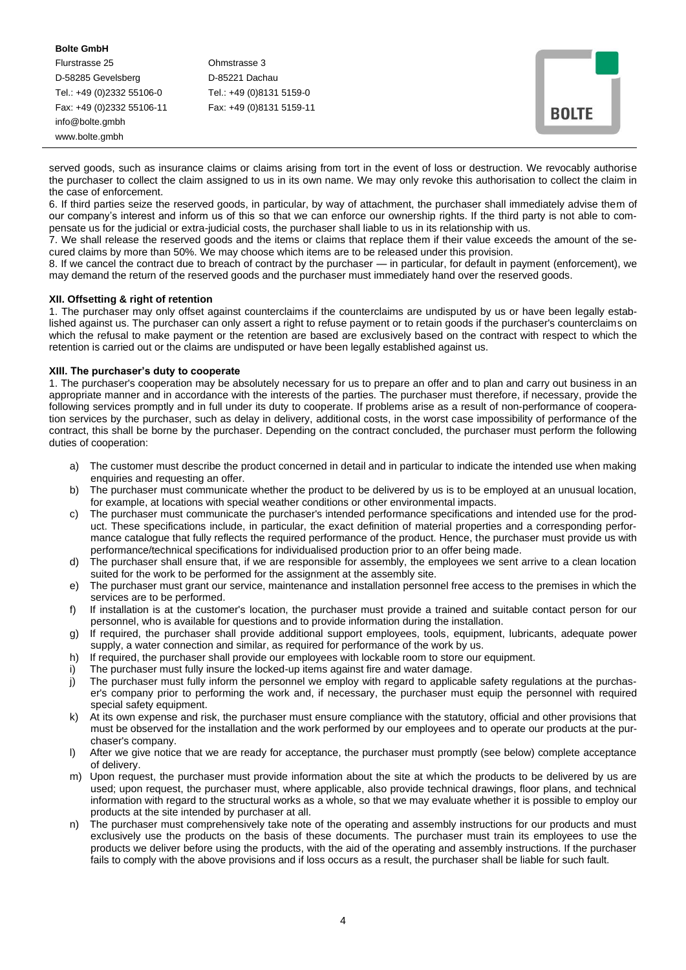**Bolte GmbH** Flurstrasse 25 Ohmstrasse 3 D-58285 Gevelsberg D-85221 Dachau Tel.: +49 (0)2332 55106-0 Tel.: +49 (0)8131 5159-0 Fax: +49 (0)2332 55106-11 Fax: +49 (0)8131 5159-11 info@bolte.gmbh www.bolte.gmbh

| <b>BOLTE</b> |  |
|--------------|--|

served goods, such as insurance claims or claims arising from tort in the event of loss or destruction. We revocably authorise the purchaser to collect the claim assigned to us in its own name. We may only revoke this authorisation to collect the claim in the case of enforcement.

6. If third parties seize the reserved goods, in particular, by way of attachment, the purchaser shall immediately advise them of our company's interest and inform us of this so that we can enforce our ownership rights. If the third party is not able to compensate us for the judicial or extra-judicial costs, the purchaser shall liable to us in its relationship with us.

7. We shall release the reserved goods and the items or claims that replace them if their value exceeds the amount of the secured claims by more than 50%. We may choose which items are to be released under this provision.

8. If we cancel the contract due to breach of contract by the purchaser — in particular, for default in payment (enforcement), we may demand the return of the reserved goods and the purchaser must immediately hand over the reserved goods.

# **XII. Offsetting & right of retention**

1. The purchaser may only offset against counterclaims if the counterclaims are undisputed by us or have been legally established against us. The purchaser can only assert a right to refuse payment or to retain goods if the purchaser's counterclaims on which the refusal to make payment or the retention are based are exclusively based on the contract with respect to which the retention is carried out or the claims are undisputed or have been legally established against us.

## **XIII. The purchaser's duty to cooperate**

1. The purchaser's cooperation may be absolutely necessary for us to prepare an offer and to plan and carry out business in an appropriate manner and in accordance with the interests of the parties. The purchaser must therefore, if necessary, provide the following services promptly and in full under its duty to cooperate. If problems arise as a result of non-performance of cooperation services by the purchaser, such as delay in delivery, additional costs, in the worst case impossibility of performance of the contract, this shall be borne by the purchaser. Depending on the contract concluded, the purchaser must perform the following duties of cooperation:

- a) The customer must describe the product concerned in detail and in particular to indicate the intended use when making enquiries and requesting an offer.
- b) The purchaser must communicate whether the product to be delivered by us is to be employed at an unusual location, for example, at locations with special weather conditions or other environmental impacts.
- c) The purchaser must communicate the purchaser's intended performance specifications and intended use for the product. These specifications include, in particular, the exact definition of material properties and a corresponding performance catalogue that fully reflects the required performance of the product. Hence, the purchaser must provide us with performance/technical specifications for individualised production prior to an offer being made.
- d) The purchaser shall ensure that, if we are responsible for assembly, the employees we sent arrive to a clean location suited for the work to be performed for the assignment at the assembly site.
- e) The purchaser must grant our service, maintenance and installation personnel free access to the premises in which the services are to be performed.
- f) If installation is at the customer's location, the purchaser must provide a trained and suitable contact person for our personnel, who is available for questions and to provide information during the installation.
- g) If required, the purchaser shall provide additional support employees, tools, equipment, lubricants, adequate power supply, a water connection and similar, as required for performance of the work by us.
- h) If required, the purchaser shall provide our employees with lockable room to store our equipment.
- i) The purchaser must fully insure the locked-up items against fire and water damage.
- j) The purchaser must fully inform the personnel we employ with regard to applicable safety regulations at the purchaser's company prior to performing the work and, if necessary, the purchaser must equip the personnel with required special safety equipment.
- k) At its own expense and risk, the purchaser must ensure compliance with the statutory, official and other provisions that must be observed for the installation and the work performed by our employees and to operate our products at the purchaser's company.
- l) After we give notice that we are ready for acceptance, the purchaser must promptly (see below) complete acceptance of delivery.
- m) Upon request, the purchaser must provide information about the site at which the products to be delivered by us are used; upon request, the purchaser must, where applicable, also provide technical drawings, floor plans, and technical information with regard to the structural works as a whole, so that we may evaluate whether it is possible to employ our products at the site intended by purchaser at all.
- n) The purchaser must comprehensively take note of the operating and assembly instructions for our products and must exclusively use the products on the basis of these documents. The purchaser must train its employees to use the products we deliver before using the products, with the aid of the operating and assembly instructions. If the purchaser fails to comply with the above provisions and if loss occurs as a result, the purchaser shall be liable for such fault.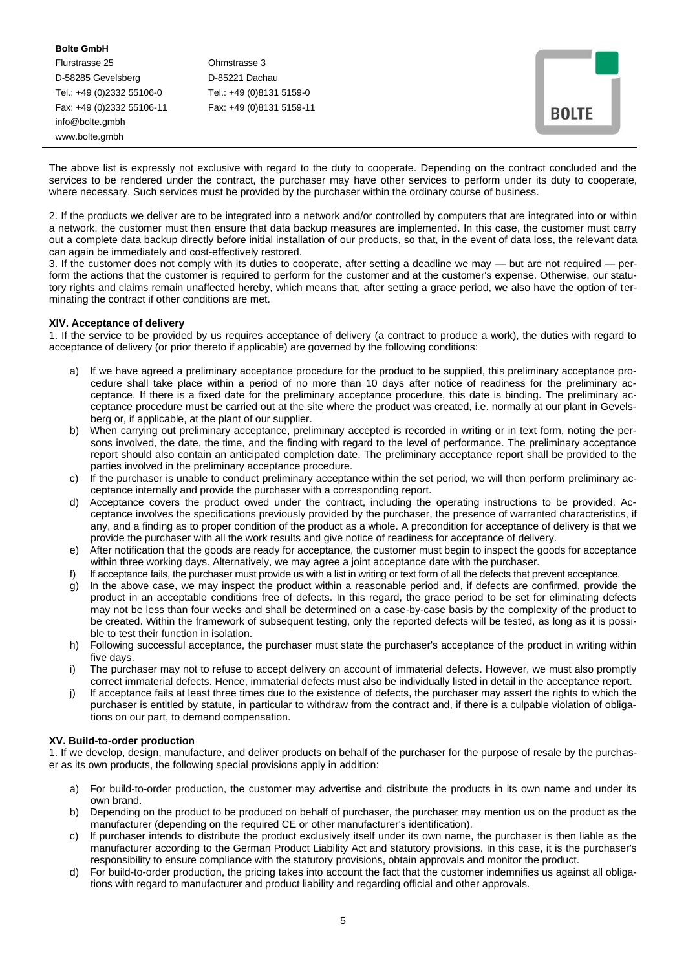#### **Bolte GmbH**

Flurstrasse 25 Ohmstrasse 3 D-58285 Gevelsberg D-85221 Dachau Tel.: +49 (0)2332 55106-0 Tel.: +49 (0)8131 5159-0 Fax: +49 (0)2332 55106-11 Fax: +49 (0)8131 5159-11 info@bolte.gmbh www.bolte.gmbh

| <b>BOLTE</b> |  |
|--------------|--|

The above list is expressly not exclusive with regard to the duty to cooperate. Depending on the contract concluded and the services to be rendered under the contract, the purchaser may have other services to perform under its duty to cooperate, where necessary. Such services must be provided by the purchaser within the ordinary course of business.

2. If the products we deliver are to be integrated into a network and/or controlled by computers that are integrated into or within a network, the customer must then ensure that data backup measures are implemented. In this case, the customer must carry out a complete data backup directly before initial installation of our products, so that, in the event of data loss, the relevant data can again be immediately and cost-effectively restored.

3. If the customer does not comply with its duties to cooperate, after setting a deadline we may — but are not required — perform the actions that the customer is required to perform for the customer and at the customer's expense. Otherwise, our statutory rights and claims remain unaffected hereby, which means that, after setting a grace period, we also have the option of terminating the contract if other conditions are met.

## **XIV. Acceptance of delivery**

1. If the service to be provided by us requires acceptance of delivery (a contract to produce a work), the duties with regard to acceptance of delivery (or prior thereto if applicable) are governed by the following conditions:

- If we have agreed a preliminary acceptance procedure for the product to be supplied, this preliminary acceptance procedure shall take place within a period of no more than 10 days after notice of readiness for the preliminary acceptance. If there is a fixed date for the preliminary acceptance procedure, this date is binding. The preliminary acceptance procedure must be carried out at the site where the product was created, i.e. normally at our plant in Gevelsberg or, if applicable, at the plant of our supplier.
- b) When carrying out preliminary acceptance, preliminary accepted is recorded in writing or in text form, noting the persons involved, the date, the time, and the finding with regard to the level of performance. The preliminary acceptance report should also contain an anticipated completion date. The preliminary acceptance report shall be provided to the parties involved in the preliminary acceptance procedure.
- c) If the purchaser is unable to conduct preliminary acceptance within the set period, we will then perform preliminary acceptance internally and provide the purchaser with a corresponding report.
- d) Acceptance covers the product owed under the contract, including the operating instructions to be provided. Acceptance involves the specifications previously provided by the purchaser, the presence of warranted characteristics, if any, and a finding as to proper condition of the product as a whole. A precondition for acceptance of delivery is that we provide the purchaser with all the work results and give notice of readiness for acceptance of delivery.
- e) After notification that the goods are ready for acceptance, the customer must begin to inspect the goods for acceptance within three working days. Alternatively, we may agree a joint acceptance date with the purchaser.
- f) If acceptance fails, the purchaser must provide us with a list in writing or text form of all the defects that prevent acceptance.
- g) In the above case, we may inspect the product within a reasonable period and, if defects are confirmed, provide the product in an acceptable conditions free of defects. In this regard, the grace period to be set for eliminating defects may not be less than four weeks and shall be determined on a case-by-case basis by the complexity of the product to be created. Within the framework of subsequent testing, only the reported defects will be tested, as long as it is possible to test their function in isolation.
- h) Following successful acceptance, the purchaser must state the purchaser's acceptance of the product in writing within five days.
- i) The purchaser may not to refuse to accept delivery on account of immaterial defects. However, we must also promptly correct immaterial defects. Hence, immaterial defects must also be individually listed in detail in the acceptance report.
- j) If acceptance fails at least three times due to the existence of defects, the purchaser may assert the rights to which the purchaser is entitled by statute, in particular to withdraw from the contract and, if there is a culpable violation of obligations on our part, to demand compensation.

# **XV. Build-to-order production**

1. If we develop, design, manufacture, and deliver products on behalf of the purchaser for the purpose of resale by the purchaser as its own products, the following special provisions apply in addition:

- a) For build-to-order production, the customer may advertise and distribute the products in its own name and under its own brand.
- b) Depending on the product to be produced on behalf of purchaser, the purchaser may mention us on the product as the manufacturer (depending on the required CE or other manufacturer's identification).
- c) If purchaser intends to distribute the product exclusively itself under its own name, the purchaser is then liable as the manufacturer according to the German Product Liability Act and statutory provisions. In this case, it is the purchaser's responsibility to ensure compliance with the statutory provisions, obtain approvals and monitor the product.
- d) For build-to-order production, the pricing takes into account the fact that the customer indemnifies us against all obligations with regard to manufacturer and product liability and regarding official and other approvals.